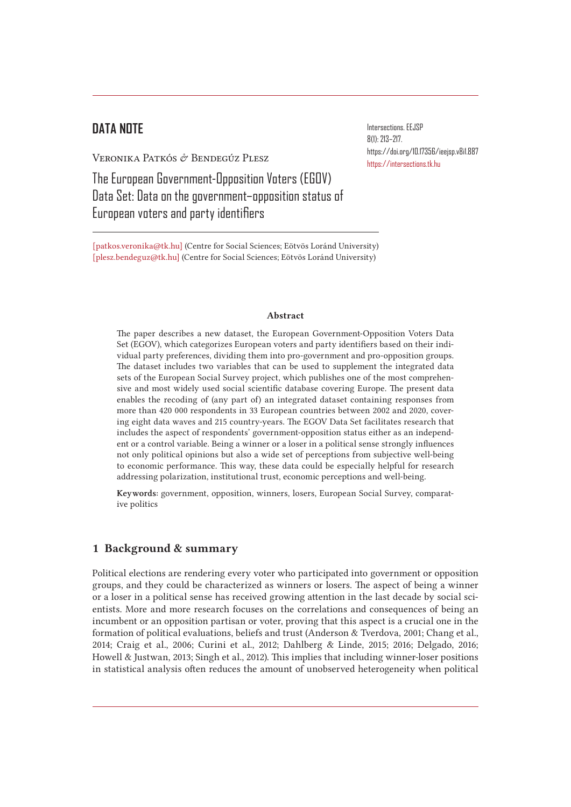# **DATA NOTE**

Veronika Patkós & Bendegúz Plesz

The European Government-Opposition Voters (EGOV) Data Set: Data on the government–opposition status of European voters and party identifiers

[patkos.veronika@tk.hu] (Centre for Social Sciences; Eötvös Loránd University) [plesz.bendeguz@tk.hu] (Centre for Social Sciences; Eötvös Loránd University)

#### Abstract

The paper describes a new dataset, the European Government-Opposition Voters Data Set (EGOV), which categorizes European voters and party identifiers based on their individual party preferences, dividing them into pro-government and pro-opposition groups. The dataset includes two variables that can be used to supplement the integrated data sets of the European Social Survey project, which publishes one of the most comprehensive and most widely used social scientific database covering Europe. The present data enables the recoding of (any part of) an integrated dataset containing responses from more than 420 000 respondents in 33 European countries between 2002 and 2020, covering eight data waves and 215 country-years. The EGOV Data Set facilitates research that includes the aspect of respondents' government-opposition status either as an independent or a control variable. Being a winner or a loser in a political sense strongly influences not only political opinions but also a wide set of perceptions from subjective well-being to economic performance. This way, these data could be especially helpful for research addressing polarization, institutional trust, economic perceptions and well-being.

Keywords: government, opposition, winners, losers, European Social Survey, comparative politics

### 1 Background & summary

Political elections are rendering every voter who participated into government or opposition groups, and they could be characterized as winners or losers. The aspect of being a winner or a loser in a political sense has received growing attention in the last decade by social scientists. More and more research focuses on the correlations and consequences of being an incumbent or an opposition partisan or voter, proving that this aspect is a crucial one in the formation of political evaluations, beliefs and trust (Anderson & Tverdova, 2001; Chang et al., 2014; Craig et al., 2006; Curini et al., 2012; Dahlberg & Linde, 2015; 2016; Delgado, 2016; Howell & Justwan, 2013; Singh et al., 2012). This implies that including winner-loser positions in statistical analysis often reduces the amount of unobserved heterogeneity when political

Intersections. EEJSP 8(1): 213–217. https://doi.org/10.17356/ieejsp.v8i1.887 https://intersections.tk.hu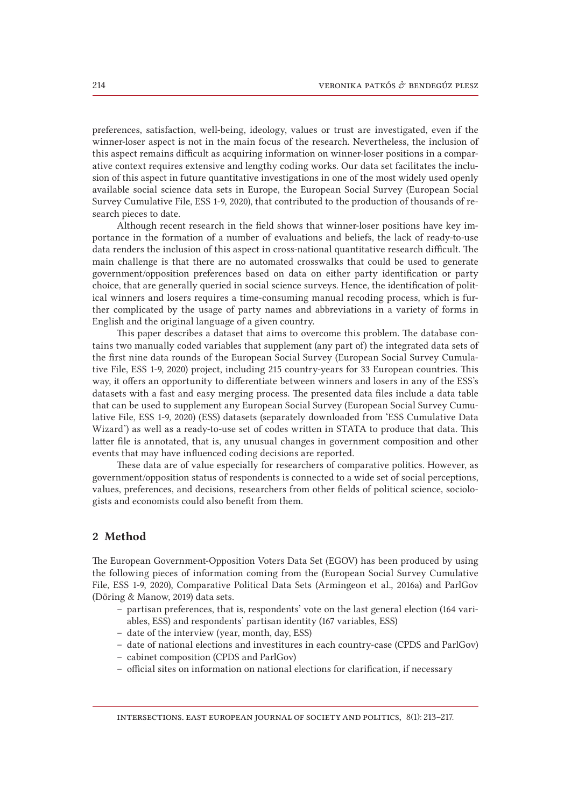preferences, satisfaction, well-being, ideology, values or trust are investigated, even if the winner-loser aspect is not in the main focus of the research. Nevertheless, the inclusion of this aspect remains difficult as acquiring information on winner-loser positions in a comparative context requires extensive and lengthy coding works. Our data set facilitates the inclusion of this aspect in future quantitative investigations in one of the most widely used openly available social science data sets in Europe, the European Social Survey (European Social Survey Cumulative File, ESS 1-9, 2020), that contributed to the production of thousands of research pieces to date.

Although recent research in the field shows that winner-loser positions have key importance in the formation of a number of evaluations and beliefs, the lack of ready-to-use data renders the inclusion of this aspect in cross-national quantitative research difficult. The main challenge is that there are no automated crosswalks that could be used to generate government/opposition preferences based on data on either party identification or party choice, that are generally queried in social science surveys. Hence, the identification of political winners and losers requires a time-consuming manual recoding process, which is further complicated by the usage of party names and abbreviations in a variety of forms in English and the original language of a given country.

This paper describes a dataset that aims to overcome this problem. The database contains two manually coded variables that supplement (any part of) the integrated data sets of the first nine data rounds of the European Social Survey (European Social Survey Cumulative File, ESS 1-9, 2020) project, including 215 country-years for 33 European countries. This way, it offers an opportunity to differentiate between winners and losers in any of the ESS's datasets with a fast and easy merging process. The presented data files include a data table that can be used to supplement any European Social Survey (European Social Survey Cumulative File, ESS 1-9, 2020) (ESS) datasets (separately downloaded from 'ESS Cumulative Data Wizard') as well as a ready-to-use set of codes written in STATA to produce that data. This latter file is annotated, that is, any unusual changes in government composition and other events that may have influenced coding decisions are reported.

These data are of value especially for researchers of comparative politics. However, as government/opposition status of respondents is connected to a wide set of social perceptions, values, preferences, and decisions, researchers from other fields of political science, sociologists and economists could also benefit from them.

### 2 Method

The European Government-Opposition Voters Data Set (EGOV) has been produced by using the following pieces of information coming from the (European Social Survey Cumulative File, ESS 1-9, 2020), Comparative Political Data Sets (Armingeon et al., 2016a) and ParlGov (Döring & Manow, 2019) data sets.

- partisan preferences, that is, respondents' vote on the last general election (164 variables, ESS) and respondents' partisan identity (167 variables, ESS)
- date of the interview (year, month, day, ESS)
- date of national elections and investitures in each country-case (CPDS and ParlGov)
- cabinet composition (CPDS and ParlGov)
- official sites on information on national elections for clarification, if necessary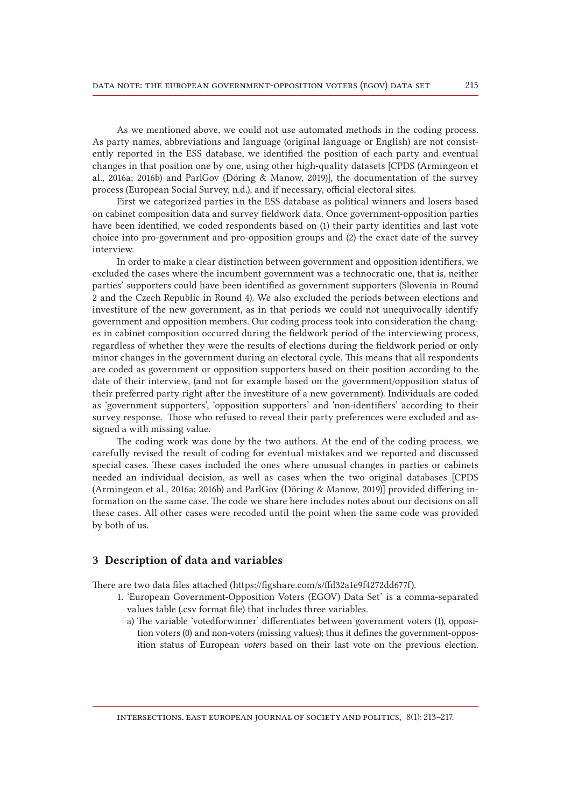As we mentioned above, we could not use automated methods in the coding process. As party names, abbreviations and language (original language or English) are not consistently reported in the ESS database, we identified the position of each party and eventual changes in that position one by one, using other high-quality datasets [CPDS (Armingeon et al., 2016a; 2016b) and ParlGov (Döring & Manow, 2019)], the documentation of the survey process (European Social Survey, n.d.), and if necessary, official electoral sites.

First we categorized parties in the ESS database as political winners and losers based on cabinet composition data and survey fieldwork data. Once government-opposition parties have been identified, we coded respondents based on (1) their party identities and last vote choice into pro-government and pro-opposition groups and (2) the exact date of the survey interview.

In order to make a clear distinction between government and opposition identifiers, we excluded the cases where the incumbent government was a technocratic one, that is, neither parties' supporters could have been identified as government supporters (Slovenia in Round 2 and the Czech Republic in Round 4). We also excluded the periods between elections and investiture of the new government, as in that periods we could not unequivocally identify government and opposition members. Our coding process took into consideration the changes in cabinet composition occurred during the fieldwork period of the interviewing process, regardless of whether they were the results of elections during the fieldwork period or only minor changes in the government during an electoral cycle. This means that all respondents are coded as government or opposition supporters based on their position according to the date of their interview, (and not for example based on the government/opposition status of their preferred party right after the investiture of a new government). Individuals are coded as 'government supporters', 'opposition supporters' and 'non-identifiers' according to their survey response. Those who refused to reveal their party preferences were excluded and assigned a with missing value.

The coding work was done by the two authors. At the end of the coding process, we carefully revised the result of coding for eventual mistakes and we reported and discussed special cases. These cases included the ones where unusual changes in parties or cabinets needed an individual decision, as well as cases when the two original databases [CPDS (Armingeon et al., 2016a; 2016b) and ParlGov (Döring & Manow, 2019)] provided differing information on the same case. The code we share here includes notes about our decisions on all these cases. All other cases were recoded until the point when the same code was provided by both of us.

### 3 Description of data and variables

There are two data files attached (https://figshare.com/s/ffd32a1e9f4272dd677f).

- 1. 'European Government-Opposition Voters (EGOV) Data Set' is a comma-separated values table (.csv format file) that includes three variables.
	- a)   The variable 'votedforwinner' differentiates between government voters (1), opposition voters (0) and non-voters (missing values); thus it defines the government-opposition status of European *voters* based on their last vote on the previous election.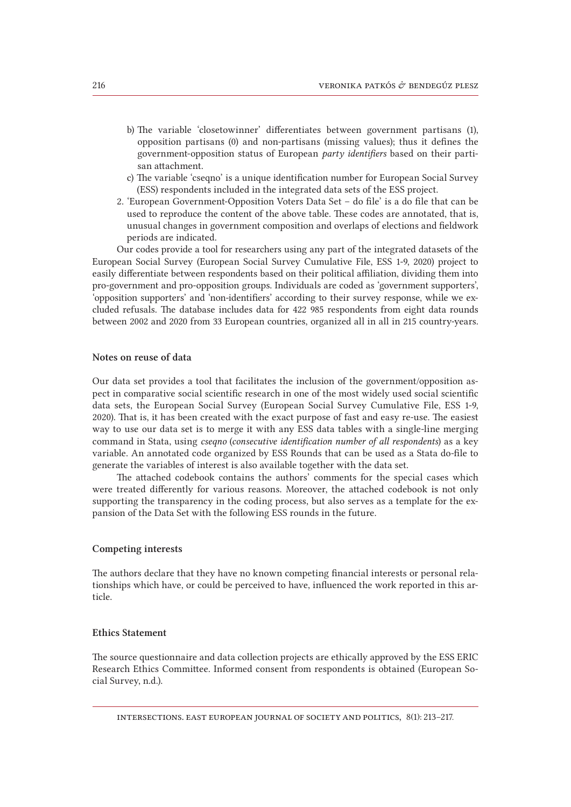- b) The variable 'closetowinner' differentiates between government partisans (1), opposition partisans (0) and non-partisans (missing values); thus it defines the government-opposition status of European *party identifiers* based on their partisan attachment.
- c)   The variable 'cseqno' is a unique identification number for European Social Survey (ESS) respondents included in the integrated data sets of the ESS project.
- 2. 'European Government-Opposition Voters Data Set do file' is a do file that can be used to reproduce the content of the above table. These codes are annotated, that is, unusual changes in government composition and overlaps of elections and fieldwork periods are indicated.

Our codes provide a tool for researchers using any part of the integrated datasets of the European Social Survey (European Social Survey Cumulative File, ESS 1-9, 2020) project to easily differentiate between respondents based on their political affiliation, dividing them into pro-government and pro-opposition groups. Individuals are coded as 'government supporters', 'opposition supporters' and 'non-identifiers' according to their survey response, while we excluded refusals. The database includes data for 422 985 respondents from eight data rounds between 2002 and 2020 from 33 European countries, organized all in all in 215 country-years.

#### Notes on reuse of data

Our data set provides a tool that facilitates the inclusion of the government/opposition aspect in comparative social scientific research in one of the most widely used social scientific data sets, the European Social Survey (European Social Survey Cumulative File, ESS 1-9, 2020). That is, it has been created with the exact purpose of fast and easy re-use. The easiest way to use our data set is to merge it with any ESS data tables with a single-line merging command in Stata, using *cseqno* (*consecutive identification number of all respondents*) as a key variable. An annotated code organized by ESS Rounds that can be used as a Stata do-file to generate the variables of interest is also available together with the data set.

The attached codebook contains the authors' comments for the special cases which were treated differently for various reasons. Moreover, the attached codebook is not only supporting the transparency in the coding process, but also serves as a template for the expansion of the Data Set with the following ESS rounds in the future.

#### Competing interests

The authors declare that they have no known competing financial interests or personal relationships which have, or could be perceived to have, influenced the work reported in this article.

### Ethics Statement

The source questionnaire and data collection projects are ethically approved by the ESS ERIC Research Ethics Committee. Informed consent from respondents is obtained (European Social Survey, n.d.).